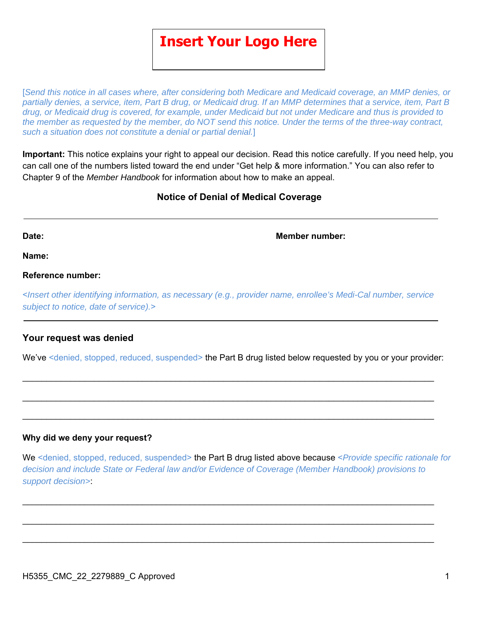# **Insert Your Logo Here**

[*Send this notice in all cases where, after considering both Medicare and Medicaid coverage, an MMP denies, or partially denies, a service, item, Part B drug, or Medicaid drug. If an MMP determines that a service, item, Part B drug, or Medicaid drug is covered, for example, under Medicaid but not under Medicare and thus is provided to the member as requested by the member, do NOT send this notice. Under the terms of the three-way contract, such a situation does not constitute a denial or partial denial.*]

**Important:** This notice explains your right to appeal our decision. Read this notice carefully. If you need help, you can call one of the numbers listed toward the end under "Get help & more information." You can also refer to Chapter 9 of the *Member Handbook* for information about how to make an appeal.

# **Notice of Denial of Medical Coverage**

**Date: Member number:**

**Name:** 

#### **Reference number:**

<*Insert other identifying information, as necessary (e.g., provider name, enrollee's Medi-Cal number, service subject to notice, date of service).*>

#### **Your request was denied**

We've <denied, stopped, reduced, suspended> the Part B drug listed below requested by you or your provider:

 $\_$ 

 $\_$ 

#### **Why did we deny your request?**

We <denied, stopped, reduced, suspended> the Part B drug listed above because <*Provide specific rationale for decision and include State or Federal law and/or Evidence of Coverage (Member Handbook) provisions to support decision>*:

 $\_$ 

 $\_$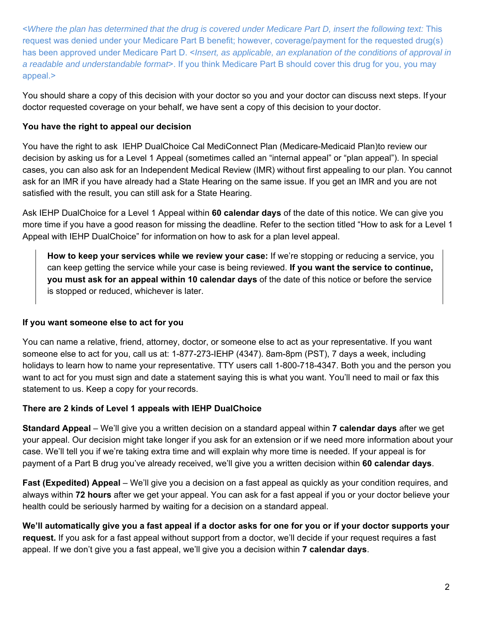<*Where the plan has determined that the drug is covered under Medicare Part D, insert the following text:* This request was denied under your Medicare Part B benefit; however, coverage/payment for the requested drug(s) has been approved under Medicare Part D. <*Insert, as applicable, an explanation of the conditions of approval in a readable and understandable format*>. If you think Medicare Part B should cover this drug for you, you may appeal.>

You should share a copy of this decision with your doctor so you and your doctor can discuss next steps. If your doctor requested coverage on your behalf, we have sent a copy of this decision to your doctor.

### **You have the right to appeal our decision**

You have the right to ask IEHP DualChoice Cal MediConnect Plan (Medicare-Medicaid Plan)to review our decision by asking us for a Level 1 Appeal (sometimes called an "internal appeal" or "plan appeal"). In special cases, you can also ask for an Independent Medical Review (IMR) without first appealing to our plan. You cannot ask for an IMR if you have already had a State Hearing on the same issue. If you get an IMR and you are not satisfied with the result, you can still ask for a State Hearing.

Ask IEHP DualChoice for a Level 1 Appeal within **60 calendar days** of the date of this notice. We can give you more time if you have a good reason for missing the deadline. Refer to the section titled "How to ask for a Level 1 Appeal with IEHP DualChoice" for information on how to ask for a plan level appeal.

**How to keep your services while we review your case:** If we're stopping or reducing a service, you can keep getting the service while your case is being reviewed. **If you want the service to continue, you must ask for an appeal within 10 calendar days** of the date of this notice or before the service is stopped or reduced, whichever is later.

#### **If you want someone else to act for you**

You can name a relative, friend, attorney, doctor, or someone else to act as your representative. If you want someone else to act for you, call us at: 1-877-273-IEHP (4347). 8am-8pm (PST), 7 days a week, including holidays to learn how to name your representative. TTY users call 1-800-718-4347. Both you and the person you want to act for you must sign and date a statement saying this is what you want. You'll need to mail or fax this statement to us. Keep a copy for your records.

# **There are 2 kinds of Level 1 appeals with IEHP DualChoice**

**Standard Appeal** – We'll give you a written decision on a standard appeal within **7 calendar days** after we get your appeal. Our decision might take longer if you ask for an extension or if we need more information about your case. We'll tell you if we're taking extra time and will explain why more time is needed. If your appeal is for payment of a Part B drug you've already received, we'll give you a written decision within **60 calendar days**.

**Fast (Expedited) Appeal** – We'll give you a decision on a fast appeal as quickly as your condition requires, and always within **72 hours** after we get your appeal. You can ask for a fast appeal if you or your doctor believe your health could be seriously harmed by waiting for a decision on a standard appeal.

**We'll automatically give you a fast appeal if a doctor asks for one for you or if your doctor supports your request.** If you ask for a fast appeal without support from a doctor, we'll decide if your request requires a fast appeal. If we don't give you a fast appeal, we'll give you a decision within **7 calendar days**.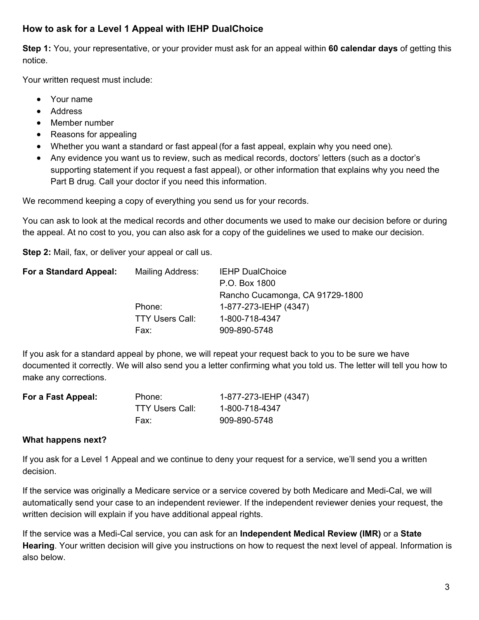# **How to ask for a Level 1 Appeal with IEHP DualChoice**

**Step 1:** You, your representative, or your provider must ask for an appeal within **60 calendar days** of getting this notice.

Your written request must include:

- Your name
- Address
- Member number
- Reasons for appealing
- Whether you want a standard or fast appeal (for a fast appeal, explain why you need one)*.*
- Any evidence you want us to review, such as medical records, doctors' letters (such as a doctor's supporting statement if you request a fast appeal), or other information that explains why you need the Part B drug*.* Call your doctor if you need this information.

We recommend keeping a copy of everything you send us for your records.

You can ask to look at the medical records and other documents we used to make our decision before or during the appeal. At no cost to you, you can also ask for a copy of the guidelines we used to make our decision.

**Step 2:** Mail, fax, or deliver your appeal or call us.

| For a Standard Appeal: | <b>Mailing Address:</b> | <b>IEHP DualChoice</b>          |
|------------------------|-------------------------|---------------------------------|
|                        |                         | P.O. Box 1800                   |
|                        |                         | Rancho Cucamonga, CA 91729-1800 |
|                        | Phone:                  | 1-877-273-IEHP (4347)           |
|                        | <b>TTY Users Call:</b>  | 1-800-718-4347                  |
|                        | Fax:                    | 909-890-5748                    |

If you ask for a standard appeal by phone, we will repeat your request back to you to be sure we have documented it correctly. We will also send you a letter confirming what you told us. The letter will tell you how to make any corrections.

| For a Fast Appeal: | Phone:                 | 1-877-273-IEHP (4347) |
|--------------------|------------------------|-----------------------|
|                    | <b>TTY Users Call:</b> | 1-800-718-4347        |
|                    | Fax:                   | 909-890-5748          |

#### **What happens next?**

If you ask for a Level 1 Appeal and we continue to deny your request for a service, we'll send you a written decision.

If the service was originally a Medicare service or a service covered by both Medicare and Medi-Cal, we will automatically send your case to an independent reviewer. If the independent reviewer denies your request, the written decision will explain if you have additional appeal rights.

If the service was a Medi-Cal service, you can ask for an **Independent Medical Review (IMR)** or a **State Hearing**. Your written decision will give you instructions on how to request the next level of appeal. Information is also below.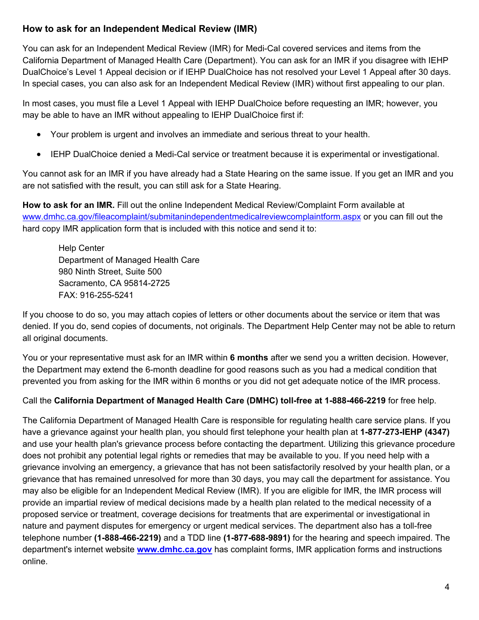# **How to ask for an Independent Medical Review (IMR)**

You can ask for an Independent Medical Review (IMR) for Medi-Cal covered services and items from the California Department of Managed Health Care (Department). You can ask for an IMR if you disagree with IEHP DualChoice's Level 1 Appeal decision or if IEHP DualChoice has not resolved your Level 1 Appeal after 30 days. In special cases, you can also ask for an Independent Medical Review (IMR) without first appealing to our plan.

In most cases, you must file a Level 1 Appeal with IEHP DualChoice before requesting an IMR; however, you may be able to have an IMR without appealing to IEHP DualChoice first if:

- Your problem is urgent and involves an immediate and serious threat to your health.
- IEHP DualChoice denied a Medi-Cal service or treatment because it is experimental or investigational.

You cannot ask for an IMR if you have already had a State Hearing on the same issue. If you get an IMR and you are not satisfied with the result, you can still ask for a State Hearing.

**How to ask for an IMR.** Fill out the online Independent Medical Review/Complaint Form available at www.dmhc.ca.gov/fileacomplaint/submitanindependentmedicalreviewcomplaintform.aspx or you can fill out the hard copy IMR application form that is included with this notice and send it to:

Help Center Department of Managed Health Care 980 Ninth Street, Suite 500 Sacramento, CA 95814-2725 FAX: 916-255-5241

If you choose to do so, you may attach copies of letters or other documents about the service or item that was denied. If you do, send copies of documents, not originals. The Department Help Center may not be able to return all original documents.

You or your representative must ask for an IMR within **6 months** after we send you a written decision. However, the Department may extend the 6-month deadline for good reasons such as you had a medical condition that prevented you from asking for the IMR within 6 months or you did not get adequate notice of the IMR process.

Call the **California Department of Managed Health Care (DMHC) toll-free at 1-888-466-2219** for free help.

The California Department of Managed Health Care is responsible for regulating health care service plans. If you have a grievance against your health plan, you should first telephone your health plan at **1-877-273-IEHP (4347)** and use your health plan's grievance process before contacting the department. Utilizing this grievance procedure does not prohibit any potential legal rights or remedies that may be available to you. If you need help with a grievance involving an emergency, a grievance that has not been satisfactorily resolved by your health plan, or a grievance that has remained unresolved for more than 30 days, you may call the department for assistance. You may also be eligible for an Independent Medical Review (IMR). If you are eligible for IMR, the IMR process will provide an impartial review of medical decisions made by a health plan related to the medical necessity of a proposed service or treatment, coverage decisions for treatments that are experimental or investigational in nature and payment disputes for emergency or urgent medical services. The department also has a toll-free telephone number **(1-888-466-2219)** and a TDD line **(1-877-688-9891)** for the hearing and speech impaired. The department's internet website **www.dmhc.ca.gov** has complaint forms, IMR application forms and instructions online.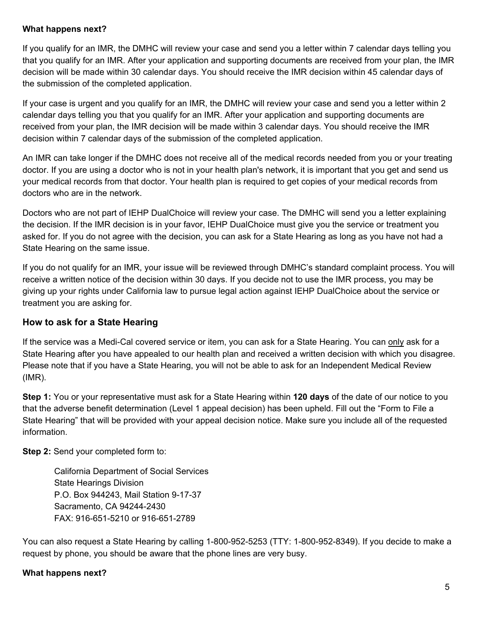#### **What happens next?**

If you qualify for an IMR, the DMHC will review your case and send you a letter within 7 calendar days telling you that you qualify for an IMR. After your application and supporting documents are received from your plan, the IMR decision will be made within 30 calendar days. You should receive the IMR decision within 45 calendar days of the submission of the completed application.

If your case is urgent and you qualify for an IMR, the DMHC will review your case and send you a letter within 2 calendar days telling you that you qualify for an IMR. After your application and supporting documents are received from your plan, the IMR decision will be made within 3 calendar days. You should receive the IMR decision within 7 calendar days of the submission of the completed application.

An IMR can take longer if the DMHC does not receive all of the medical records needed from you or your treating doctor. If you are using a doctor who is not in your health plan's network, it is important that you get and send us your medical records from that doctor. Your health plan is required to get copies of your medical records from doctors who are in the network.

Doctors who are not part of IEHP DualChoice will review your case. The DMHC will send you a letter explaining the decision. If the IMR decision is in your favor, IEHP DualChoice must give you the service or treatment you asked for. If you do not agree with the decision, you can ask for a State Hearing as long as you have not had a State Hearing on the same issue.

If you do not qualify for an IMR, your issue will be reviewed through DMHC's standard complaint process. You will receive a written notice of the decision within 30 days. If you decide not to use the IMR process, you may be giving up your rights under California law to pursue legal action against IEHP DualChoice about the service or treatment you are asking for.

# **How to ask for a State Hearing**

If the service was a Medi-Cal covered service or item, you can ask for a State Hearing. You can only ask for a State Hearing after you have appealed to our health plan and received a written decision with which you disagree. Please note that if you have a State Hearing, you will not be able to ask for an Independent Medical Review (IMR).

**Step 1:** You or your representative must ask for a State Hearing within **120 days** of the date of our notice to you that the adverse benefit determination (Level 1 appeal decision) has been upheld. Fill out the "Form to File a State Hearing" that will be provided with your appeal decision notice. Make sure you include all of the requested information.

**Step 2:** Send your completed form to:

California Department of Social Services State Hearings Division P.O. Box 944243, Mail Station 9-17-37 Sacramento, CA 94244-2430 FAX: 916-651-5210 or 916-651-2789

You can also request a State Hearing by calling 1-800-952-5253 (TTY: 1-800-952-8349). If you decide to make a request by phone, you should be aware that the phone lines are very busy.

#### **What happens next?**